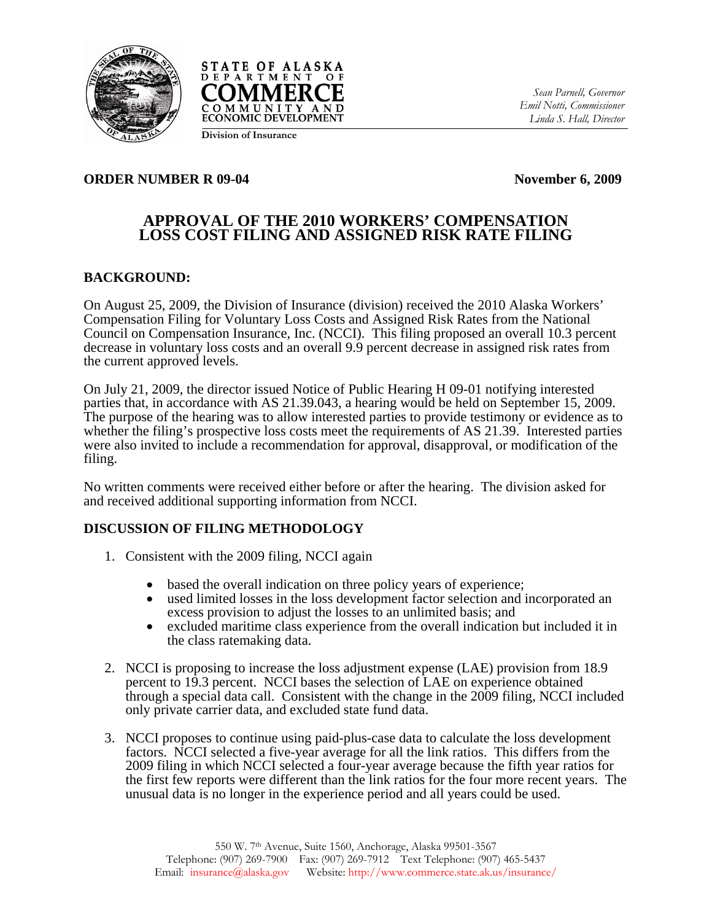



**Division of Insurance**

*Sean Parnell, Governor Emil Notti, Commissioner Linda S. Hall, Director* 

### **ORDER NUMBER R 09-04 November 6, 2009**

# **APPROVAL OF THE 2010 WORKERS' COMPENSATION LOSS COST FILING AND ASSIGNED RISK RATE FILING**

### **BACKGROUND:**

On August 25, 2009, the Division of Insurance (division) received the 2010 Alaska Workers' Compensation Filing for Voluntary Loss Costs and Assigned Risk Rates from the National Council on Compensation Insurance, Inc. (NCCI). This filing proposed an overall 10.3 percent decrease in voluntary loss costs and an overall 9.9 percent decrease in assigned risk rates from the current approved levels.

On July 21, 2009, the director issued Notice of Public Hearing H 09-01 notifying interested parties that, in accordance with AS 21.39.043, a hearing would be held on September 15, 2009. The purpose of the hearing was to allow interested parties to provide testimony or evidence as to whether the filing's prospective loss costs meet the requirements of AS 21.39. Interested parties were also invited to include a recommendation for approval, disapproval, or modification of the filing.

No written comments were received either before or after the hearing. The division asked for and received additional supporting information from NCCI.

# **DISCUSSION OF FILING METHODOLOGY**

- 1. Consistent with the 2009 filing, NCCI again
	- based the overall indication on three policy years of experience;
	- used limited losses in the loss development factor selection and incorporated an excess provision to adjust the losses to an unlimited basis; and
	- excluded maritime class experience from the overall indication but included it in the class ratemaking data.
- 2. NCCI is proposing to increase the loss adjustment expense (LAE) provision from 18.9 percent to 19.3 percent. NCCI bases the selection of LAE on experience obtained through a special data call. Consistent with the change in the 2009 filing, NCCI included only private carrier data, and excluded state fund data.
- 3. NCCI proposes to continue using paid-plus-case data to calculate the loss development factors. NCCI selected a five-year average for all the link ratios. This differs from the 2009 filing in which NCCI selected a four-year average because the fifth year ratios for the first few reports were different than the link ratios for the four more recent years. The unusual data is no longer in the experience period and all years could be used.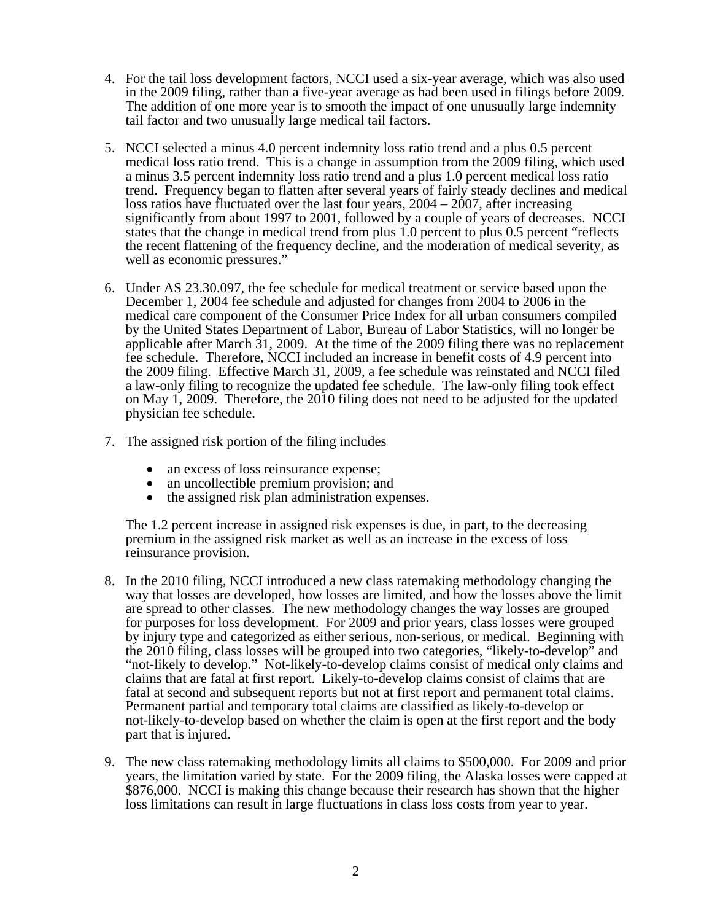- 4. For the tail loss development factors, NCCI used a six-year average, which was also used in the 2009 filing, rather than a five-year average as had been used in filings before 2009. The addition of one more year is to smooth the impact of one unusually large indemnity tail factor and two unusually large medical tail factors.
- 5. NCCI selected a minus 4.0 percent indemnity loss ratio trend and a plus 0.5 percent medical loss ratio trend. This is a change in assumption from the 2009 filing, which used a minus 3.5 percent indemnity loss ratio trend and a plus 1.0 percent medical loss ratio trend. Frequency began to flatten after several years of fairly steady declines and medical loss ratios have fluctuated over the last four years, 2004 – 2007, after increasing significantly from about 1997 to 2001, followed by a couple of years of decreases. NCCI states that the change in medical trend from plus 1.0 percent to plus 0.5 percent "reflects the recent flattening of the frequency decline, and the moderation of medical severity, as well as economic pressures."
- 6. Under AS 23.30.097, the fee schedule for medical treatment or service based upon the December 1, 2004 fee schedule and adjusted for changes from 2004 to 2006 in the medical care component of the Consumer Price Index for all urban consumers compiled by the United States Department of Labor, Bureau of Labor Statistics, will no longer be applicable after March 31, 2009. At the time of the 2009 filing there was no replacement fee schedule. Therefore, NCCI included an increase in benefit costs of 4.9 percent into the 2009 filing. Effective March 31, 2009, a fee schedule was reinstated and NCCI filed a law-only filing to recognize the updated fee schedule. The law-only filing took effect on May 1, 2009. Therefore, the 2010 filing does not need to be adjusted for the updated physician fee schedule.
- 7. The assigned risk portion of the filing includes
	- an excess of loss reinsurance expense:
	-
	- an uncollectible premium provision; and<br>• the assigned risk plan administration expenses.

The 1.2 percent increase in assigned risk expenses is due, in part, to the decreasing premium in the assigned risk market as well as an increase in the excess of loss reinsurance provision.

- 8. In the 2010 filing, NCCI introduced a new class ratemaking methodology changing the way that losses are developed, how losses are limited, and how the losses above the limit are spread to other classes. The new methodology changes the way losses are grouped for purposes for loss development. For 2009 and prior years, class losses were grouped by injury type and categorized as either serious, non-serious, or medical. Beginning with the 2010 filing, class losses will be grouped into two categories, "likely-to-develop" and "not-likely to develop." Not-likely-to-develop claims consist of medical only claims and claims that are fatal at first report. Likely-to-develop claims consist of claims that are fatal at second and subsequent reports but not at first report and permanent total claims. Permanent partial and temporary total claims are classified as likely-to-develop or not-likely-to-develop based on whether the claim is open at the first report and the body part that is injured.
- 9. The new class ratemaking methodology limits all claims to \$500,000. For 2009 and prior years, the limitation varied by state. For the 2009 filing, the Alaska losses were capped at \$876,000. NCCI is making this change because their research has shown that the higher loss limitations can result in large fluctuations in class loss costs from year to year.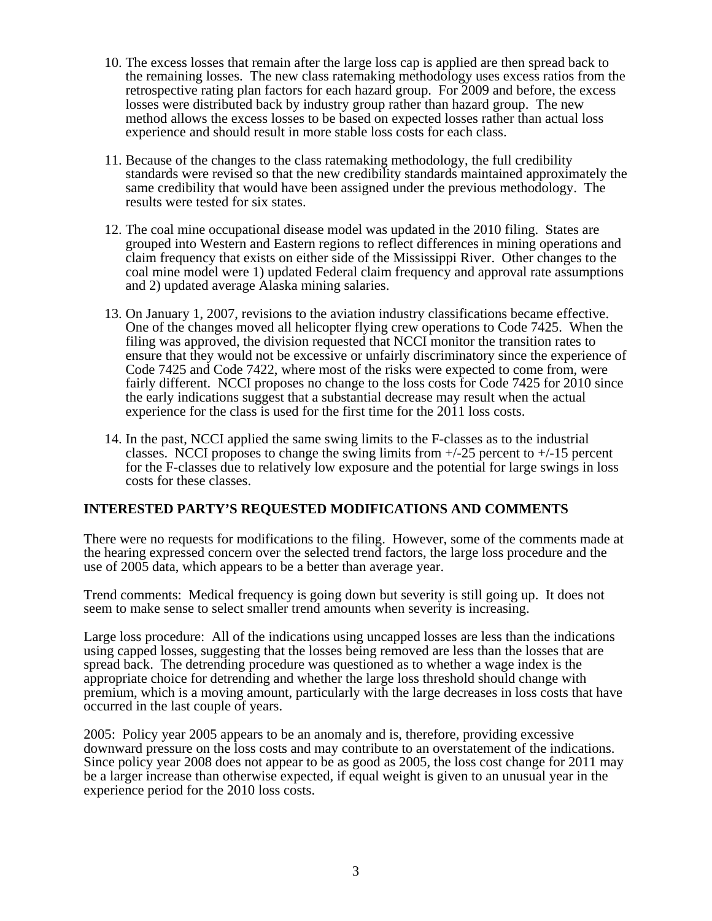- 10. The excess losses that remain after the large loss cap is applied are then spread back to the remaining losses. The new class ratemaking methodology uses excess ratios from the retrospective rating plan factors for each hazard group. For 2009 and before, the excess losses were distributed back by industry group rather than hazard group. The new method allows the excess losses to be based on expected losses rather than actual loss experience and should result in more stable loss costs for each class.
- 11. Because of the changes to the class ratemaking methodology, the full credibility standards were revised so that the new credibility standards maintained approximately the same credibility that would have been assigned under the previous methodology. The results were tested for six states.
- 12. The coal mine occupational disease model was updated in the 2010 filing. States are grouped into Western and Eastern regions to reflect differences in mining operations and claim frequency that exists on either side of the Mississippi River. Other changes to the coal mine model were 1) updated Federal claim frequency and approval rate assumptions and 2) updated average Alaska mining salaries.
- 13. On January 1, 2007, revisions to the aviation industry classifications became effective. One of the changes moved all helicopter flying crew operations to Code 7425. When the filing was approved, the division requested that NCCI monitor the transition rates to ensure that they would not be excessive or unfairly discriminatory since the experience of Code 7425 and Code 7422, where most of the risks were expected to come from, were fairly different. NCCI proposes no change to the loss costs for Code 7425 for 2010 since the early indications suggest that a substantial decrease may result when the actual experience for the class is used for the first time for the 2011 loss costs.
- 14. In the past, NCCI applied the same swing limits to the F-classes as to the industrial classes. NCCI proposes to change the swing limits from  $+/25$  percent to  $+/-15$  percent for the F-classes due to relatively low exposure and the potential for large swings in loss costs for these classes.

#### **INTERESTED PARTY'S REQUESTED MODIFICATIONS AND COMMENTS**

There were no requests for modifications to the filing. However, some of the comments made at the hearing expressed concern over the selected trend factors, the large loss procedure and the use of 2005 data, which appears to be a better than average year.

Trend comments: Medical frequency is going down but severity is still going up. It does not seem to make sense to select smaller trend amounts when severity is increasing.

Large loss procedure: All of the indications using uncapped losses are less than the indications using capped losses, suggesting that the losses being removed are less than the losses that are spread back. The detrending procedure was questioned as to whether a wage index is the appropriate choice for detrending and whether the large loss threshold should change with premium, which is a moving amount, particularly with the large decreases in loss costs that have occurred in the last couple of years.

2005: Policy year 2005 appears to be an anomaly and is, therefore, providing excessive downward pressure on the loss costs and may contribute to an overstatement of the indications. Since policy year 2008 does not appear to be as good as 2005, the loss cost change for 2011 may be a larger increase than otherwise expected, if equal weight is given to an unusual year in the experience period for the 2010 loss costs.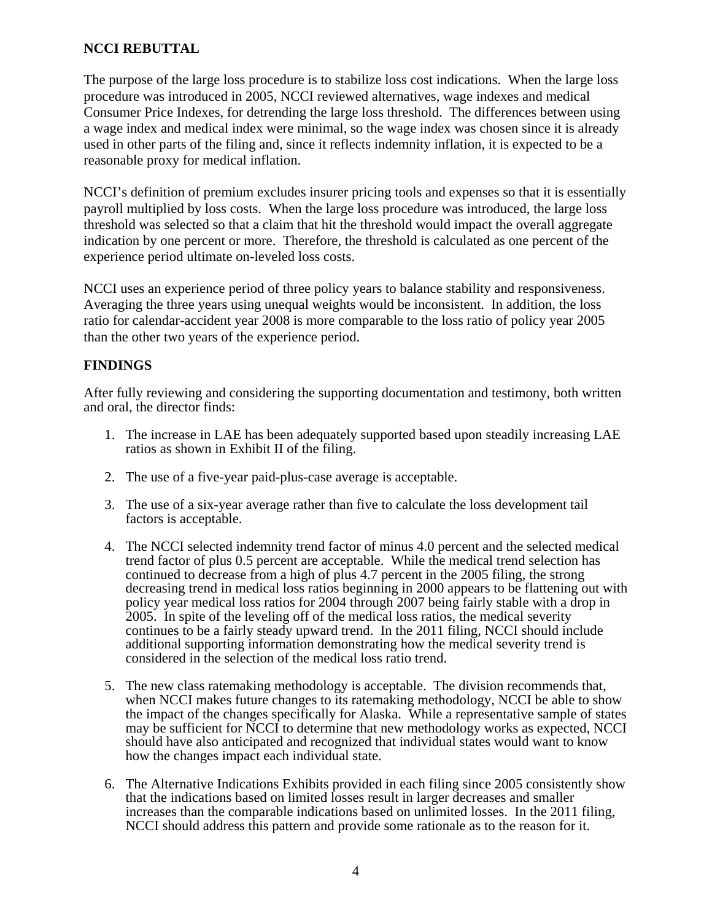# **NCCI REBUTTAL**

The purpose of the large loss procedure is to stabilize loss cost indications. When the large loss procedure was introduced in 2005, NCCI reviewed alternatives, wage indexes and medical Consumer Price Indexes, for detrending the large loss threshold. The differences between using a wage index and medical index were minimal, so the wage index was chosen since it is already used in other parts of the filing and, since it reflects indemnity inflation, it is expected to be a reasonable proxy for medical inflation.

NCCI's definition of premium excludes insurer pricing tools and expenses so that it is essentially payroll multiplied by loss costs. When the large loss procedure was introduced, the large loss threshold was selected so that a claim that hit the threshold would impact the overall aggregate indication by one percent or more. Therefore, the threshold is calculated as one percent of the experience period ultimate on-leveled loss costs.

NCCI uses an experience period of three policy years to balance stability and responsiveness. Averaging the three years using unequal weights would be inconsistent. In addition, the loss ratio for calendar-accident year 2008 is more comparable to the loss ratio of policy year 2005 than the other two years of the experience period.

# **FINDINGS**

After fully reviewing and considering the supporting documentation and testimony, both written and oral, the director finds:

- 1. The increase in LAE has been adequately supported based upon steadily increasing LAE ratios as shown in Exhibit II of the filing.
- 2. The use of a five-year paid-plus-case average is acceptable.
- 3. The use of a six-year average rather than five to calculate the loss development tail factors is acceptable.
- 4. The NCCI selected indemnity trend factor of minus 4.0 percent and the selected medical trend factor of plus 0.5 percent are acceptable. While the medical trend selection has continued to decrease from a high of plus 4.7 percent in the 2005 filing, the strong decreasing trend in medical loss ratios beginning in 2000 appears to be flattening out with policy year medical loss ratios for 2004 through 2007 being fairly stable with a drop in 2005. In spite of the leveling off of the medical loss ratios, the medical severity continues to be a fairly steady upward trend. In the 2011 filing, NCCI should include additional supporting information demonstrating how the medical severity trend is considered in the selection of the medical loss ratio trend.
- 5. The new class ratemaking methodology is acceptable. The division recommends that, when NCCI makes future changes to its ratemaking methodology, NCCI be able to show the impact of the changes specifically for Alaska. While a representative sample of states may be sufficient for NCCI to determine that new methodology works as expected, NCCI should have also anticipated and recognized that individual states would want to know how the changes impact each individual state.
- 6. The Alternative Indications Exhibits provided in each filing since 2005 consistently show that the indications based on limited losses result in larger decreases and smaller increases than the comparable indications based on unlimited losses. In the 2011 filing, NCCI should address this pattern and provide some rationale as to the reason for it.